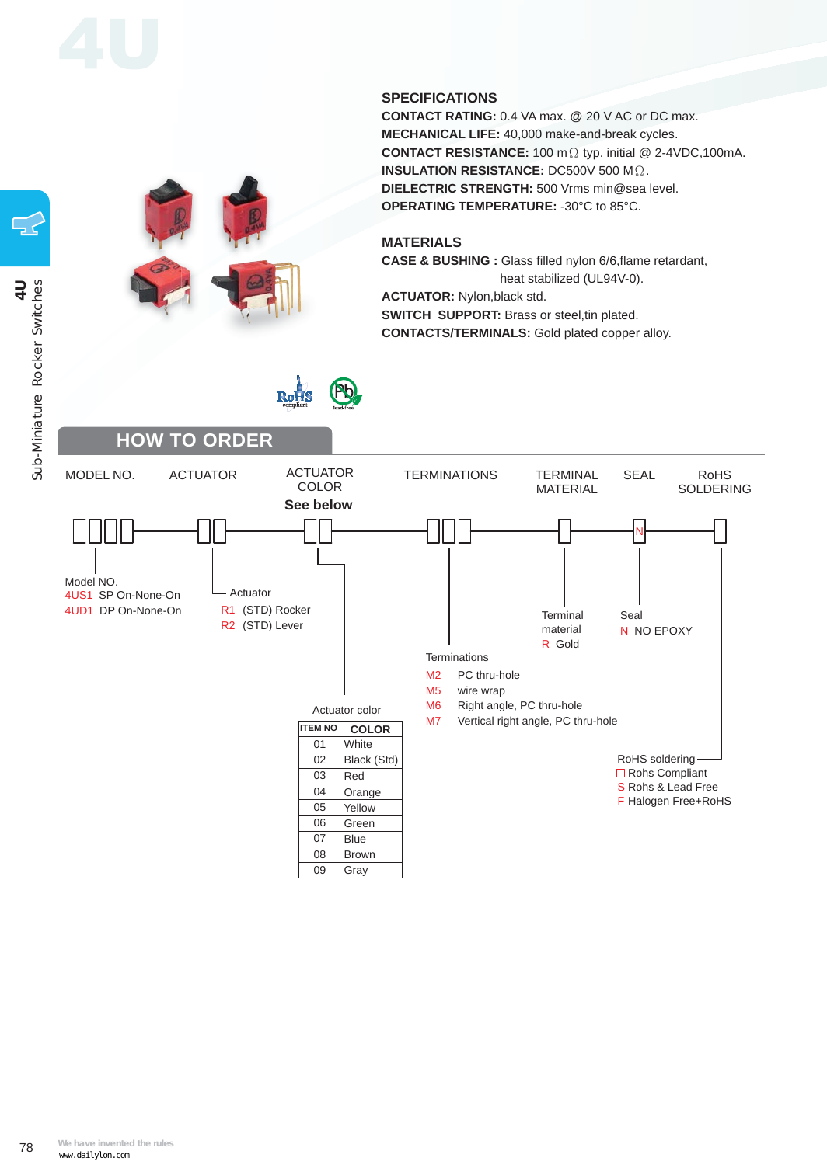### **SPECIFICATIONS**

**CONTACT RATING:** 0.4 VA max. @ 20 V AC or DC max. **MECHANICAL LIFE:** 40,000 make-and-break cycles. CONTACT RESISTANCE: 100 mΩ typ. initial @ 2-4VDC,100mA. **INSULATION RESISTANCE:** DC500V 500 M $\Omega$ . **DIELECTRIC STRENGTH:** 500 Vrms min@sea level. **OPERATING TEMPERATURE:** -30°C to 85°C.

### **MATERIALS**

**CASE & BUSHING :** Glass filled nylon 6/6,flame retardant, heat stabilized (UL94V-0).

**ACTUATOR:** Nylon,black std. **SWITCH SUPPORT:** Brass or steel,tin plated. **CONTACTS/TERMINALS:** Gold plated copper alloy.

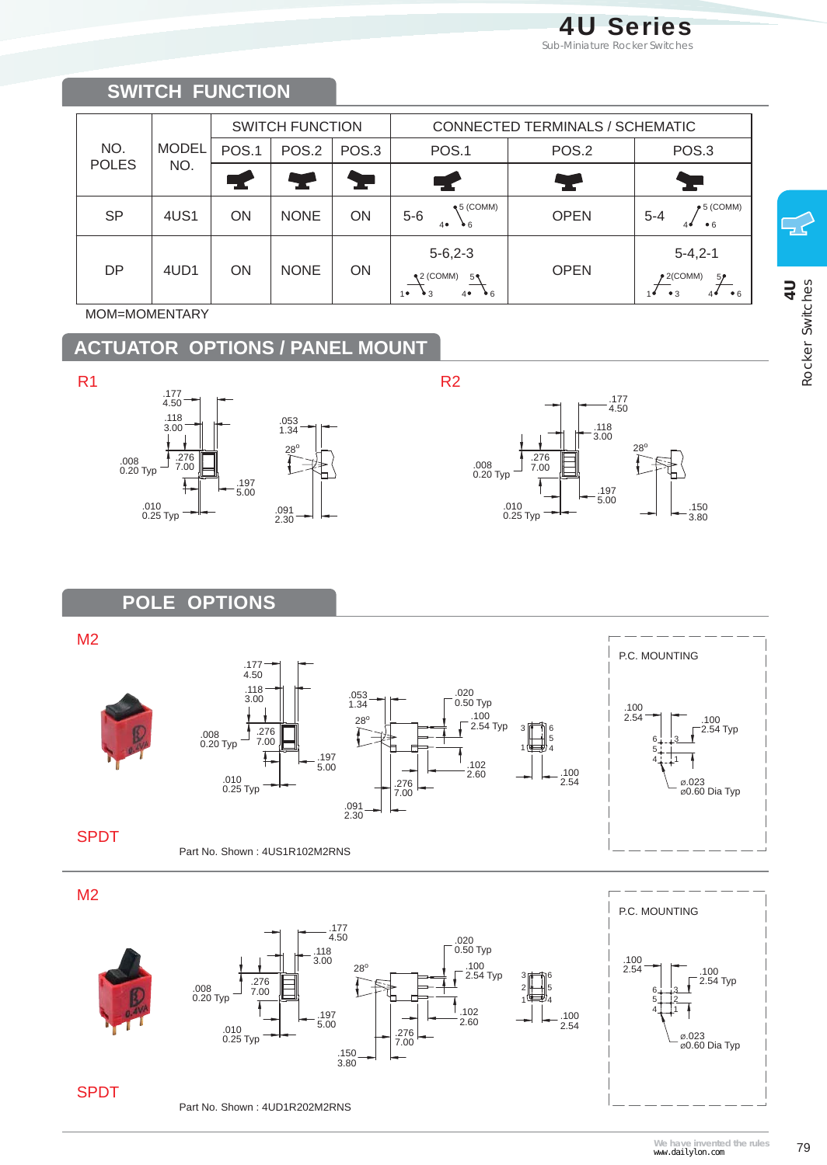## **SWITCH FUNCTION**

| NO.<br><b>POLES</b> | <b>MODEL</b><br>NO. | <b>SWITCH FUNCTION</b> |             |                | CONNECTED TERMINALS / SCHEMATIC                                                            |             |                                                                   |
|---------------------|---------------------|------------------------|-------------|----------------|--------------------------------------------------------------------------------------------|-------------|-------------------------------------------------------------------|
|                     |                     | POS.1                  | POS.2       | POS.3          | POS.1                                                                                      | POS.2       | POS.3                                                             |
|                     |                     |                        |             | <b>Service</b> |                                                                                            | Y           |                                                                   |
| <b>SP</b>           | 4US1                | ON                     | <b>NONE</b> | ON             | $\triangleleft$ 5 (COMM)<br>$5-6$<br>40<br>$\bullet$ 6                                     | <b>OPEN</b> | $\blacktriangleright$ 5 (COMM)<br>$5 - 4$<br>•6<br>40             |
| <b>DP</b>           | 4UD1                | ON                     | <b>NONE</b> | <b>ON</b>      | $5 - 6, 2 - 3$<br>$\triangleleft 2$ (COMM)<br>5₹<br>10<br>$\bullet$ 6<br>$\bullet$ 3<br>40 | <b>OPEN</b> | $5 - 4, 2 - 1$<br>$2$ (COMM)<br>5 <sub>p</sub><br>• 6<br>•3<br>40 |

MOM=MOMENTARY

# **ACTUATOR OPTIONS / PANEL MOUNT**





## **POLE OPTIONS**

M2













SPDT

Part No. Shown : 4UD1R202M2RNS

ل<br>-<br>7 4U<br>Rocker Switches Rocker Switches

**We have invented the rules** 79 www.dailylon.com